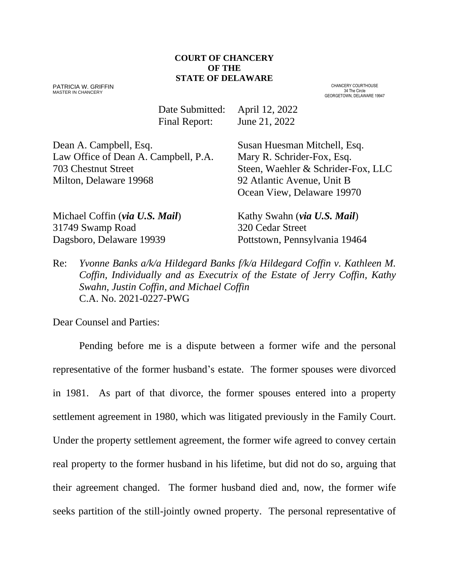#### **COURT OF CHANCERY OF THE STATE OF DELAWARE**

PATRICIA W. GRIFFIN MASTER IN CHANCERY

CHANCERY COURTHOUSE 34 The Circle GEORGETOWN, DELAWARE 19947

Date Submitted: April 12, 2022 Final Report: June 21, 2022

Dean A. Campbell, Esq. Susan Huesman Mitchell, Esq. Law Office of Dean A. Campbell, P.A. Mary R. Schrider-Fox, Esq. 703 Chestnut Street Steen, Waehler & Schrider-Fox, LLC Milton, Delaware 19968 92 Atlantic Avenue, Unit B

Ocean View, Delaware 19970

Michael Coffin (*via U.S. Mail*) Kathy Swahn (*via U.S. Mail*) 31749 Swamp Road 320 Cedar Street Dagsboro, Delaware 19939 Pottstown, Pennsylvania 19464

Re: *Yvonne Banks a/k/a Hildegard Banks f/k/a Hildegard Coffin v. Kathleen M. Coffin, Individually and as Executrix of the Estate of Jerry Coffin, Kathy Swahn, Justin Coffin, and Michael Coffin* C.A. No. 2021-0227-PWG

Dear Counsel and Parties:

Pending before me is a dispute between a former wife and the personal representative of the former husband's estate. The former spouses were divorced in 1981. As part of that divorce, the former spouses entered into a property settlement agreement in 1980, which was litigated previously in the Family Court. Under the property settlement agreement, the former wife agreed to convey certain real property to the former husband in his lifetime, but did not do so, arguing that their agreement changed. The former husband died and, now, the former wife seeks partition of the still-jointly owned property. The personal representative of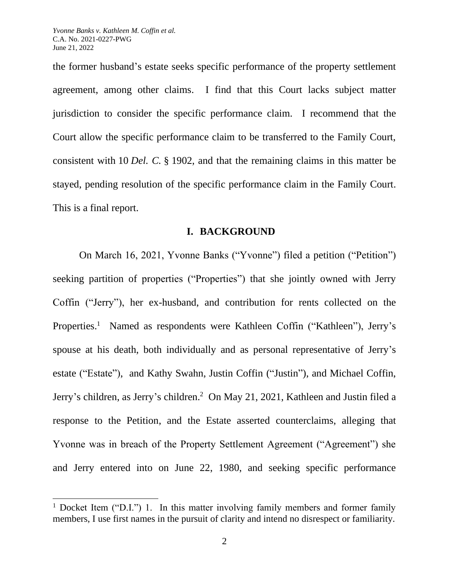the former husband's estate seeks specific performance of the property settlement agreement, among other claims. I find that this Court lacks subject matter jurisdiction to consider the specific performance claim. I recommend that the Court allow the specific performance claim to be transferred to the Family Court, consistent with 10 *Del. C.* § 1902, and that the remaining claims in this matter be stayed, pending resolution of the specific performance claim in the Family Court. This is a final report.

#### **I. BACKGROUND**

On March 16, 2021, Yvonne Banks ("Yvonne") filed a petition ("Petition") seeking partition of properties ("Properties") that she jointly owned with Jerry Coffin ("Jerry"), her ex-husband, and contribution for rents collected on the Properties.<sup>1</sup> Named as respondents were Kathleen Coffin ("Kathleen"), Jerry's spouse at his death, both individually and as personal representative of Jerry's estate ("Estate"), and Kathy Swahn, Justin Coffin ("Justin"), and Michael Coffin, Jerry's children, as Jerry's children. <sup>2</sup> On May 21, 2021, Kathleen and Justin filed a response to the Petition, and the Estate asserted counterclaims, alleging that Yvonne was in breach of the Property Settlement Agreement ("Agreement") she and Jerry entered into on June 22, 1980, and seeking specific performance

<sup>&</sup>lt;sup>1</sup> Docket Item ("D.I.") 1. In this matter involving family members and former family members, I use first names in the pursuit of clarity and intend no disrespect or familiarity.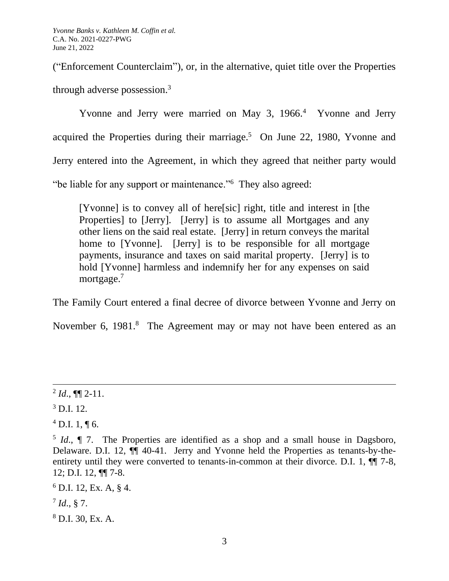("Enforcement Counterclaim"), or, in the alternative, quiet title over the Properties through adverse possession.<sup>3</sup>

Yvonne and Jerry were married on May 3, 1966.<sup>4</sup> Yvonne and Jerry acquired the Properties during their marriage. $5$  On June 22, 1980, Yvonne and Jerry entered into the Agreement, in which they agreed that neither party would "be liable for any support or maintenance."<sup>6</sup> They also agreed:

[Yvonne] is to convey all of here[sic] right, title and interest in [the Properties] to [Jerry]. [Jerry] is to assume all Mortgages and any other liens on the said real estate. [Jerry] in return conveys the marital home to [Yvonne]. [Jerry] is to be responsible for all mortgage payments, insurance and taxes on said marital property. [Jerry] is to hold [Yvonne] harmless and indemnify her for any expenses on said mortgage.<sup>7</sup>

The Family Court entered a final decree of divorce between Yvonne and Jerry on

November 6, 1981.<sup>8</sup> The Agreement may or may not have been entered as an

 $^{2}$  *Id.*,  $\P\P$  2-11.

 $3$  D.I. 12.

 $^{4}$  D.I. 1, ¶ 6.

<sup>&</sup>lt;sup>5</sup> *Id.*, **[** 7. The Properties are identified as a shop and a small house in Dagsboro, Delaware. D.I. 12, ¶¶ 40-41. Jerry and Yvonne held the Properties as tenants-by-theentirety until they were converted to tenants-in-common at their divorce. D.I. 1,  $\P$  7-8, 12; D.I. 12, ¶¶ 7-8.

 $6$  D.I. 12, Ex. A, § 4.

<sup>7</sup> *Id*., § 7.

<sup>8</sup> D.I. 30, Ex. A.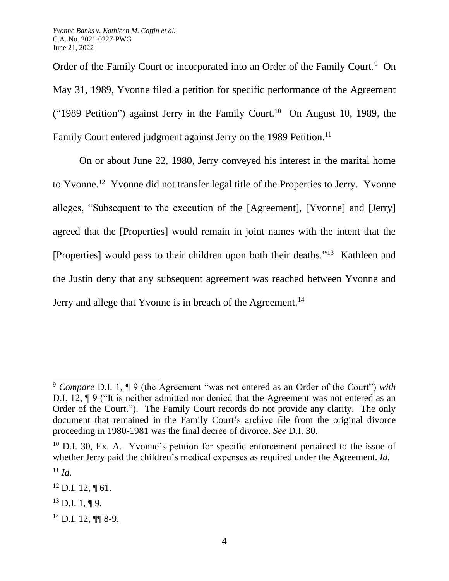Order of the Family Court or incorporated into an Order of the Family Court.<sup>9</sup> On May 31, 1989, Yvonne filed a petition for specific performance of the Agreement ("1989 Petition") against Jerry in the Family Court.<sup>10</sup> On August 10, 1989, the Family Court entered judgment against Jerry on the 1989 Petition.<sup>11</sup>

On or about June 22, 1980, Jerry conveyed his interest in the marital home to Yvonne.<sup>12</sup> Yvonne did not transfer legal title of the Properties to Jerry. Yvonne alleges, "Subsequent to the execution of the [Agreement], [Yvonne] and [Jerry] agreed that the [Properties] would remain in joint names with the intent that the [Properties] would pass to their children upon both their deaths."<sup>13</sup> Kathleen and the Justin deny that any subsequent agreement was reached between Yvonne and Jerry and allege that Yvonne is in breach of the Agreement.<sup>14</sup>

<sup>9</sup> *Compare* D.I. 1, ¶ 9 (the Agreement "was not entered as an Order of the Court") *with* D.I. 12, ¶ 9 ("It is neither admitted nor denied that the Agreement was not entered as an Order of the Court."). The Family Court records do not provide any clarity. The only document that remained in the Family Court's archive file from the original divorce proceeding in 1980-1981 was the final decree of divorce. *See* D.I. 30.

 $10$  D.I. 30, Ex. A. Yvonne's petition for specific enforcement pertained to the issue of whether Jerry paid the children's medical expenses as required under the Agreement. *Id.*  $11$  *Id.* 

 $12$  D.I. 12,  $\P$  61.

 $^{13}$  D.I. 1, ¶ 9.

 $14$  D.I. 12, ¶¶ 8-9.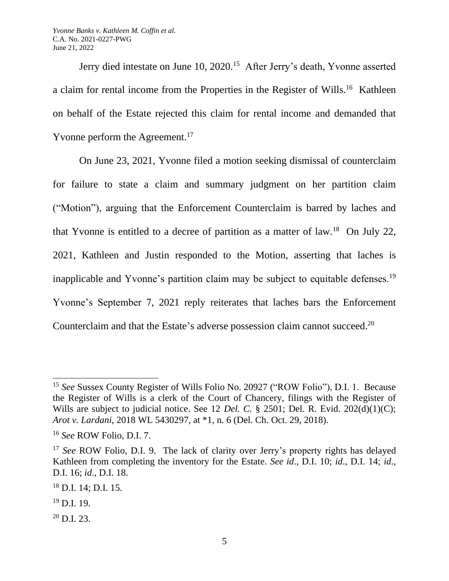Jerry died intestate on June 10, 2020.<sup>15</sup> After Jerry's death, Yvonne asserted a claim for rental income from the Properties in the Register of Wills.<sup>16</sup> Kathleen on behalf of the Estate rejected this claim for rental income and demanded that Yvonne perform the Agreement.<sup>17</sup>

On June 23, 2021, Yvonne filed a motion seeking dismissal of counterclaim for failure to state a claim and summary judgment on her partition claim ("Motion"), arguing that the Enforcement Counterclaim is barred by laches and that Yvonne is entitled to a decree of partition as a matter of law.<sup>18</sup> On July 22, 2021, Kathleen and Justin responded to the Motion, asserting that laches is inapplicable and Yvonne's partition claim may be subject to equitable defenses.<sup>19</sup> Yvonne's September 7, 2021 reply reiterates that laches bars the Enforcement Counterclaim and that the Estate's adverse possession claim cannot succeed.<sup>20</sup>

<sup>15</sup> *See* Sussex County Register of Wills Folio No. 20927 ("ROW Folio"), D.I. 1. Because the Register of Wills is a clerk of the Court of Chancery, filings with the Register of Wills are subject to judicial notice. See 12 *Del. C.* § 2501; Del. R. Evid. 202(d)(1)(C); *Arot v. Lardani*, 2018 WL 5430297, at \*1, n. 6 (Del. Ch. Oct. 29, 2018).

<sup>16</sup> *See* ROW Folio, D.I. 7.

<sup>&</sup>lt;sup>17</sup> *See* ROW Folio, D.I. 9. The lack of clarity over Jerry's property rights has delayed Kathleen from completing the inventory for the Estate. *See id*., D.I. 10; *id*., D.I. 14; *id*., D.I. 16; *id*., D.I. 18.

<sup>18</sup> D.I. 14; D.I. 15.

 $19$  D.I. 19.

 $^{20}$  D.I. 23.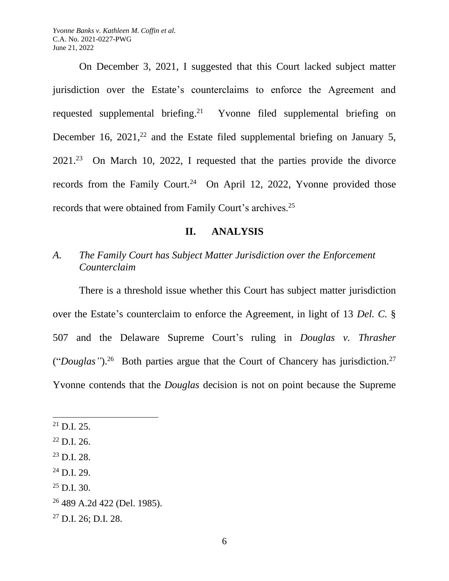On December 3, 2021, I suggested that this Court lacked subject matter jurisdiction over the Estate's counterclaims to enforce the Agreement and requested supplemental briefing.<sup>21</sup> Yvonne filed supplemental briefing on December 16,  $2021$ ,<sup>22</sup> and the Estate filed supplemental briefing on January 5,  $2021<sup>23</sup>$  On March 10, 2022, I requested that the parties provide the divorce records from the Family Court.<sup>24</sup> On April 12, 2022, Yvonne provided those records that were obtained from Family Court's archives.<sup>25</sup>

### **II. ANALYSIS**

# *A. The Family Court has Subject Matter Jurisdiction over the Enforcement Counterclaim*

There is a threshold issue whether this Court has subject matter jurisdiction over the Estate's counterclaim to enforce the Agreement, in light of 13 *Del. C.* § 507 and the Delaware Supreme Court's ruling in *Douglas v. Thrasher*  ("*Douglas*").<sup>26</sup> Both parties argue that the Court of Chancery has jurisdiction.<sup>27</sup> Yvonne contends that the *Douglas* decision is not on point because the Supreme

 $25$  D.I. 30.

 $^{21}$  D.I. 25.

 $^{22}$  D.I. 26.

 $^{23}$  D.I. 28.

<sup>24</sup> D.I. 29.

<sup>26</sup> 489 A.2d 422 (Del. 1985).

 $27$  D.I. 26; D.I. 28.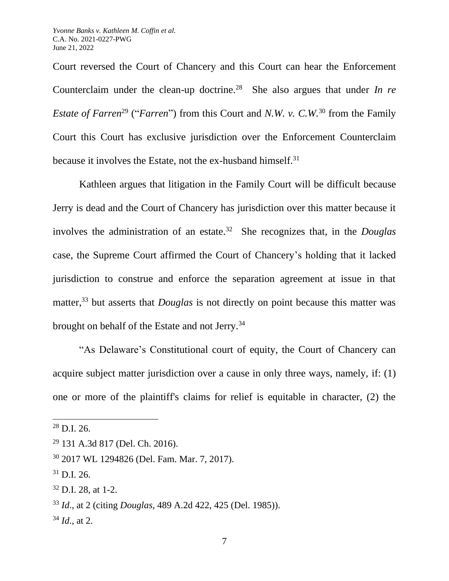Court reversed the Court of Chancery and this Court can hear the Enforcement Counterclaim under the clean-up doctrine.<sup>28</sup> She also argues that under *In re Estate of Farren*<sup>29</sup> ("*Farren*") from this Court and *N.W. v. C.W.*<sup>30</sup> from the Family Court this Court has exclusive jurisdiction over the Enforcement Counterclaim because it involves the Estate, not the ex-husband himself.<sup>31</sup>

Kathleen argues that litigation in the Family Court will be difficult because Jerry is dead and the Court of Chancery has jurisdiction over this matter because it involves the administration of an estate.<sup>32</sup> She recognizes that, in the *Douglas* case, the Supreme Court affirmed the Court of Chancery's holding that it lacked jurisdiction to construe and enforce the separation agreement at issue in that matter,<sup>33</sup> but asserts that *Douglas* is not directly on point because this matter was brought on behalf of the Estate and not Jerry.<sup>34</sup>

"As Delaware's Constitutional court of equity, the Court of Chancery can acquire subject matter jurisdiction over a cause in only three ways, namely, if: (1) one or more of the plaintiff's claims for relief is equitable in character, (2) the

 $28$  D.I. 26.

<sup>29</sup> 131 A.3d 817 (Del. Ch. 2016).

<sup>30</sup> 2017 WL 1294826 (Del. Fam. Mar. 7, 2017).

 $31$  D.I. 26.

 $32$  D.I. 28, at 1-2.

<sup>33</sup> *Id*., at 2 (citing *Douglas*, 489 A.2d 422, 425 (Del. 1985)).

<sup>34</sup> *Id*., at 2.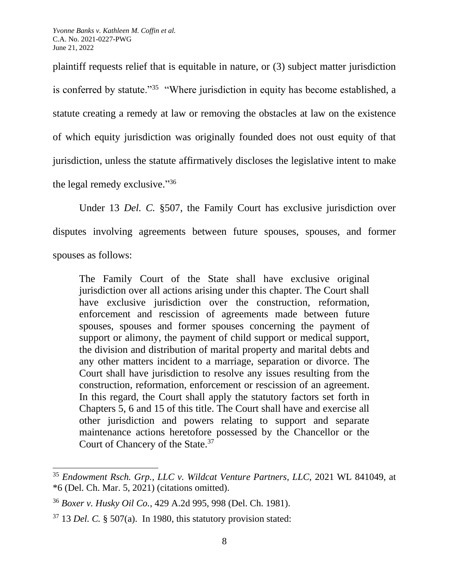plaintiff requests relief that is equitable in nature, or (3) subject matter jurisdiction is conferred by statute."<sup>35</sup> "Where jurisdiction in equity has become established, a statute creating a remedy at law or removing the obstacles at law on the existence of which equity jurisdiction was originally founded does not oust equity of that jurisdiction, unless the statute affirmatively discloses the legislative intent to make the legal remedy exclusive."<sup>36</sup>

Under 13 *Del. C.* §507, the Family Court has exclusive jurisdiction over disputes involving agreements between future spouses, spouses, and former spouses as follows:

The Family Court of the State shall have exclusive original jurisdiction over all actions arising under this chapter. The Court shall have exclusive jurisdiction over the construction, reformation, enforcement and rescission of agreements made between future spouses, spouses and former spouses concerning the payment of support or alimony, the payment of child support or medical support, the division and distribution of marital property and marital debts and any other matters incident to a marriage, separation or divorce. The Court shall have jurisdiction to resolve any issues resulting from the construction, reformation, enforcement or rescission of an agreement. In this regard, the Court shall apply the statutory factors set forth in Chapters 5, 6 and 15 of this title. The Court shall have and exercise all other jurisdiction and powers relating to support and separate maintenance actions heretofore possessed by the Chancellor or the Court of Chancery of the State.<sup>37</sup>

<sup>35</sup> *Endowment Rsch. Grp., LLC v. Wildcat Venture Partners, LLC*, 2021 WL 841049, at \*6 (Del. Ch. Mar. 5, 2021) (citations omitted).

<sup>36</sup> *Boxer v. Husky Oil Co.*, 429 A.2d 995, 998 (Del. Ch. 1981).

<sup>37</sup> 13 *Del. C.* § 507(a). In 1980, this statutory provision stated: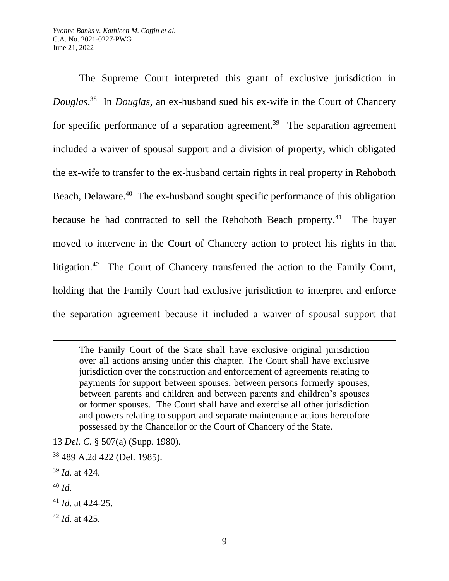The Supreme Court interpreted this grant of exclusive jurisdiction in *Douglas*. <sup>38</sup> In *Douglas*, an ex-husband sued his ex-wife in the Court of Chancery for specific performance of a separation agreement.<sup>39</sup> The separation agreement included a waiver of spousal support and a division of property, which obligated the ex-wife to transfer to the ex-husband certain rights in real property in Rehoboth Beach, Delaware.<sup>40</sup> The ex-husband sought specific performance of this obligation because he had contracted to sell the Rehoboth Beach property.<sup>41</sup> The buyer moved to intervene in the Court of Chancery action to protect his rights in that litigation.<sup>42</sup> The Court of Chancery transferred the action to the Family Court, holding that the Family Court had exclusive jurisdiction to interpret and enforce the separation agreement because it included a waiver of spousal support that

The Family Court of the State shall have exclusive original jurisdiction over all actions arising under this chapter. The Court shall have exclusive jurisdiction over the construction and enforcement of agreements relating to payments for support between spouses, between persons formerly spouses, between parents and children and between parents and children's spouses or former spouses. The Court shall have and exercise all other jurisdiction and powers relating to support and separate maintenance actions heretofore possessed by the Chancellor or the Court of Chancery of the State.

- 13 *Del. C.* § 507(a) (Supp. 1980).
- <sup>38</sup> 489 A.2d 422 (Del. 1985).
- <sup>39</sup> *Id*. at 424.
- <sup>40</sup> *Id*.

<sup>42</sup> *Id*. at 425.

<sup>41</sup> *Id*. at 424-25.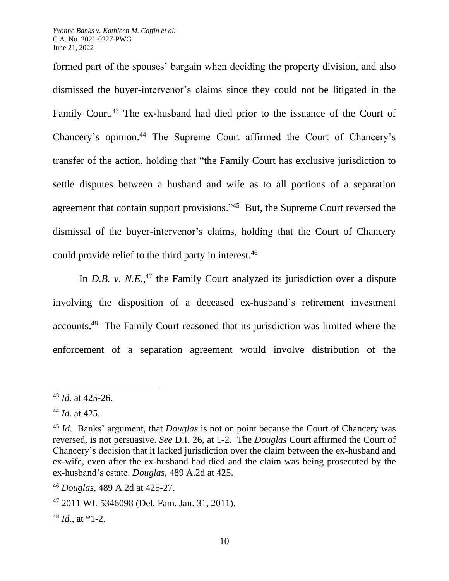formed part of the spouses' bargain when deciding the property division, and also dismissed the buyer-intervenor's claims since they could not be litigated in the Family Court.<sup>43</sup> The ex-husband had died prior to the issuance of the Court of Chancery's opinion.<sup>44</sup> The Supreme Court affirmed the Court of Chancery's transfer of the action, holding that "the Family Court has exclusive jurisdiction to settle disputes between a husband and wife as to all portions of a separation agreement that contain support provisions."<sup>45</sup> But, the Supreme Court reversed the dismissal of the buyer-intervenor's claims, holding that the Court of Chancery could provide relief to the third party in interest.<sup>46</sup>

In *D.B. v. N.E.*<sup>47</sup> the Family Court analyzed its jurisdiction over a dispute involving the disposition of a deceased ex-husband's retirement investment accounts.<sup>48</sup> The Family Court reasoned that its jurisdiction was limited where the enforcement of a separation agreement would involve distribution of the

 $48$  *Id.*, at  $*1-2$ .

<sup>43</sup> *Id*. at 425-26.

<sup>44</sup> *Id*. at 425.

<sup>45</sup> *Id*. Banks' argument, that *Douglas* is not on point because the Court of Chancery was reversed, is not persuasive. *See* D.I. 26, at 1-2. The *Douglas* Court affirmed the Court of Chancery's decision that it lacked jurisdiction over the claim between the ex-husband and ex-wife, even after the ex-husband had died and the claim was being prosecuted by the ex-husband's estate. *Douglas*, 489 A.2d at 425.

<sup>46</sup> *Douglas*, 489 A.2d at 425-27.

<sup>47</sup> 2011 WL 5346098 (Del. Fam. Jan. 31, 2011).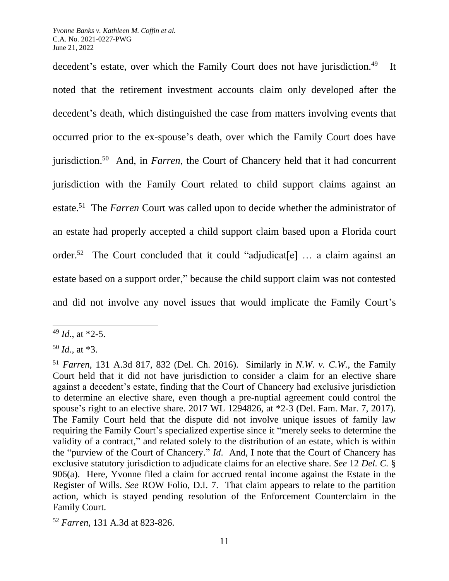decedent's estate, over which the Family Court does not have jurisdiction.<sup>49</sup> It noted that the retirement investment accounts claim only developed after the decedent's death, which distinguished the case from matters involving events that occurred prior to the ex-spouse's death, over which the Family Court does have jurisdiction. 50 And, in *Farren*, the Court of Chancery held that it had concurrent jurisdiction with the Family Court related to child support claims against an estate.<sup>51</sup> The *Farren* Court was called upon to decide whether the administrator of an estate had properly accepted a child support claim based upon a Florida court order.<sup>52</sup> The Court concluded that it could "adjudicat[e] ... a claim against an estate based on a support order," because the child support claim was not contested and did not involve any novel issues that would implicate the Family Court's

<sup>49</sup> *Id*., at \*2-5.

<sup>50</sup> *Id.*, at \*3.

<sup>51</sup> *Farren,* 131 A.3d 817, 832 (Del. Ch. 2016). Similarly in *N.W. v. C.W.*, the Family Court held that it did not have jurisdiction to consider a claim for an elective share against a decedent's estate, finding that the Court of Chancery had exclusive jurisdiction to determine an elective share, even though a pre-nuptial agreement could control the spouse's right to an elective share. 2017 WL 1294826, at \*2-3 (Del. Fam. Mar. 7, 2017). The Family Court held that the dispute did not involve unique issues of family law requiring the Family Court's specialized expertise since it "merely seeks to determine the validity of a contract," and related solely to the distribution of an estate, which is within the "purview of the Court of Chancery." *Id*. And, I note that the Court of Chancery has exclusive statutory jurisdiction to adjudicate claims for an elective share. *See* 12 *Del. C.* § 906(a). Here, Yvonne filed a claim for accrued rental income against the Estate in the Register of Wills. *See* ROW Folio, D.I. 7. That claim appears to relate to the partition action, which is stayed pending resolution of the Enforcement Counterclaim in the Family Court.

<sup>52</sup> *Farren*, 131 A.3d at 823-826.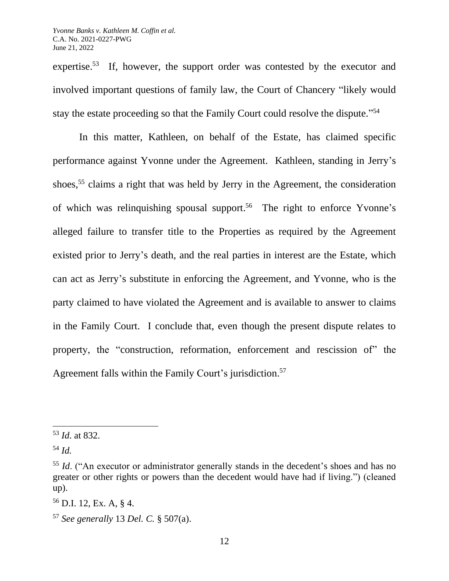expertise.<sup>53</sup> If, however, the support order was contested by the executor and involved important questions of family law, the Court of Chancery "likely would stay the estate proceeding so that the Family Court could resolve the dispute."<sup>54</sup>

In this matter, Kathleen, on behalf of the Estate, has claimed specific performance against Yvonne under the Agreement. Kathleen, standing in Jerry's shoes,<sup>55</sup> claims a right that was held by Jerry in the Agreement, the consideration of which was relinquishing spousal support. 56 The right to enforce Yvonne's alleged failure to transfer title to the Properties as required by the Agreement existed prior to Jerry's death, and the real parties in interest are the Estate, which can act as Jerry's substitute in enforcing the Agreement, and Yvonne, who is the party claimed to have violated the Agreement and is available to answer to claims in the Family Court. I conclude that, even though the present dispute relates to property, the "construction, reformation, enforcement and rescission of" the Agreement falls within the Family Court's jurisdiction.<sup>57</sup>

<sup>53</sup> *Id*. at 832.

<sup>54</sup> *Id.*

<sup>&</sup>lt;sup>55</sup> *Id.* ("An executor or administrator generally stands in the decedent's shoes and has no greater or other rights or powers than the decedent would have had if living.") (cleaned up).

<sup>56</sup> D.I. 12, Ex. A, § 4.

<sup>57</sup> *See generally* 13 *Del. C.* § 507(a).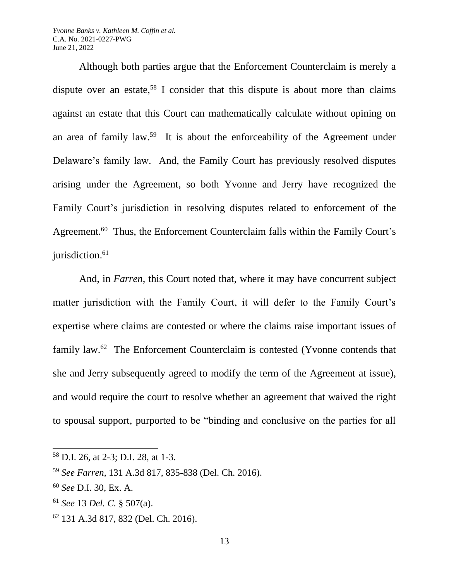Although both parties argue that the Enforcement Counterclaim is merely a dispute over an estate,<sup>58</sup> I consider that this dispute is about more than claims against an estate that this Court can mathematically calculate without opining on an area of family law.<sup>59</sup> It is about the enforceability of the Agreement under Delaware's family law. And, the Family Court has previously resolved disputes arising under the Agreement, so both Yvonne and Jerry have recognized the Family Court's jurisdiction in resolving disputes related to enforcement of the Agreement.<sup>60</sup> Thus, the Enforcement Counterclaim falls within the Family Court's jurisdiction. 61

And, in *Farren*, this Court noted that, where it may have concurrent subject matter jurisdiction with the Family Court, it will defer to the Family Court's expertise where claims are contested or where the claims raise important issues of family law.<sup>62</sup> The Enforcement Counterclaim is contested (Yvonne contends that she and Jerry subsequently agreed to modify the term of the Agreement at issue), and would require the court to resolve whether an agreement that waived the right to spousal support, purported to be "binding and conclusive on the parties for all

<sup>62</sup> 131 A.3d 817, 832 (Del. Ch. 2016).

<sup>58</sup> D.I. 26, at 2-3; D.I. 28, at 1-3.

<sup>59</sup> *See Farren*, 131 A.3d 817, 835-838 (Del. Ch. 2016).

<sup>60</sup> *See* D.I. 30, Ex. A.

<sup>61</sup> *See* 13 *Del. C.* § 507(a).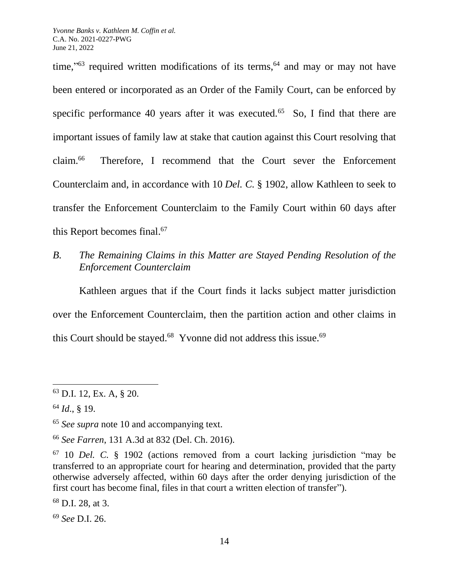time,"<sup>63</sup> required written modifications of its terms,<sup>64</sup> and may or may not have been entered or incorporated as an Order of the Family Court, can be enforced by specific performance 40 years after it was executed.<sup>65</sup> So, I find that there are important issues of family law at stake that caution against this Court resolving that  $claim.<sup>66</sup>$ Therefore, I recommend that the Court sever the Enforcement Counterclaim and, in accordance with 10 *Del. C.* § 1902, allow Kathleen to seek to transfer the Enforcement Counterclaim to the Family Court within 60 days after this Report becomes final. 67

*B. The Remaining Claims in this Matter are Stayed Pending Resolution of the Enforcement Counterclaim* 

Kathleen argues that if the Court finds it lacks subject matter jurisdiction over the Enforcement Counterclaim, then the partition action and other claims in this Court should be stayed. $^{68}$  Yvonne did not address this issue. $^{69}$ 

<sup>69</sup> *See* D.I. 26.

<sup>63</sup> D.I. 12, Ex. A, § 20.

<sup>64</sup> *Id*., § 19.

<sup>65</sup> *See supra* note 10 and accompanying text.

<sup>66</sup> *See Farren*, 131 A.3d at 832 (Del. Ch. 2016).

<sup>67</sup> 10 *Del. C.* § 1902 (actions removed from a court lacking jurisdiction "may be transferred to an appropriate court for hearing and determination, provided that the party otherwise adversely affected, within 60 days after the order denying jurisdiction of the first court has become final, files in that court a written election of transfer").

<sup>68</sup> D.I. 28, at 3.